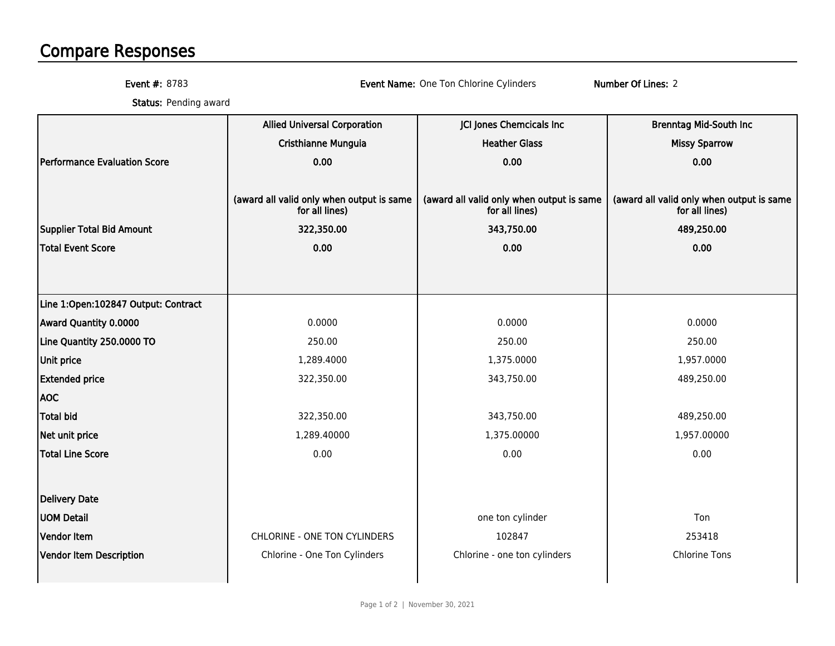## Compare Responses

Event #: 8783

Event Name: One Ton Chlorine Cylinders Number Of Lines: 2

**Status:** Pending award

|                                     | <b>Allied Universal Corporation</b>                         | JCI Jones Chemcicals Inc                                    | <b>Brenntag Mid-South Inc</b>                               |
|-------------------------------------|-------------------------------------------------------------|-------------------------------------------------------------|-------------------------------------------------------------|
|                                     | Cristhianne Munguia                                         | <b>Heather Glass</b>                                        | <b>Missy Sparrow</b>                                        |
| Performance Evaluation Score        | 0.00                                                        | 0.00                                                        | 0.00                                                        |
|                                     |                                                             |                                                             |                                                             |
|                                     | (award all valid only when output is same<br>for all lines) | (award all valid only when output is same<br>for all lines) | (award all valid only when output is same<br>for all lines) |
| Supplier Total Bid Amount           | 322,350.00                                                  | 343,750.00                                                  | 489,250.00                                                  |
| <b>Total Event Score</b>            | 0.00                                                        | 0.00                                                        | 0.00                                                        |
|                                     |                                                             |                                                             |                                                             |
|                                     |                                                             |                                                             |                                                             |
| Line 1:Open:102847 Output: Contract |                                                             |                                                             |                                                             |
| Award Quantity 0.0000               | 0.0000                                                      | 0.0000                                                      | 0.0000                                                      |
| Line Quantity 250.0000 TO           | 250.00                                                      | 250.00                                                      | 250.00                                                      |
| Unit price                          | 1,289.4000                                                  | 1,375.0000                                                  | 1,957.0000                                                  |
| <b>Extended price</b>               | 322,350.00                                                  | 343,750.00                                                  | 489,250.00                                                  |
| <b>AOC</b>                          |                                                             |                                                             |                                                             |
| <b>Total bid</b>                    | 322,350.00                                                  | 343,750.00                                                  | 489,250.00                                                  |
| Net unit price                      | 1,289.40000                                                 | 1,375.00000                                                 | 1,957.00000                                                 |
| <b>Total Line Score</b>             | 0.00                                                        | 0.00                                                        | 0.00                                                        |
|                                     |                                                             |                                                             |                                                             |
| Delivery Date                       |                                                             |                                                             |                                                             |
| <b>UOM Detail</b>                   |                                                             | one ton cylinder                                            | Ton                                                         |
| <b>Vendor Item</b>                  | CHLORINE - ONE TON CYLINDERS                                | 102847                                                      | 253418                                                      |
| Vendor Item Description             | Chlorine - One Ton Cylinders                                | Chlorine - one ton cylinders                                | <b>Chlorine Tons</b>                                        |
|                                     |                                                             |                                                             |                                                             |